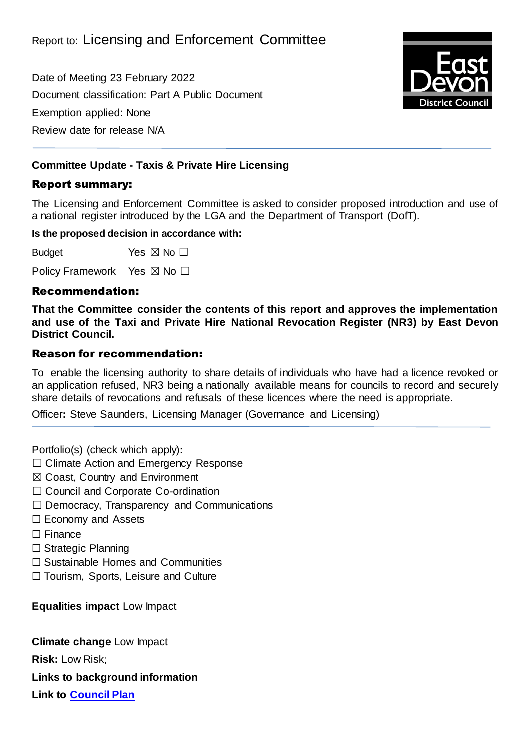Date of Meeting 23 February 2022 Document classification: Part A Public Document Exemption applied: None Review date for release N/A



## **Committee Update - Taxis & Private Hire Licensing**

### Report summary:

The Licensing and Enforcement Committee is asked to consider proposed introduction and use of a national register introduced by the LGA and the Department of Transport (DofT).

#### **Is the proposed decision in accordance with:**

Budget Yes  $\boxtimes$  No  $\Box$ 

Policy Framework Yes ⊠ No □

#### Recommendation:

**That the Committee consider the contents of this report and approves the implementation and use of the Taxi and Private Hire National Revocation Register (NR3) by East Devon District Council.**

### Reason for recommendation:

To enable the licensing authority to share details of individuals who have had a licence revoked or an application refused, NR3 being a nationally available means for councils to record and securely share details of revocations and refusals of these licences where the need is appropriate.

Officer**:** Steve Saunders, Licensing Manager (Governance and Licensing)

Portfolio(s) (check which apply)**:**

- ☐ Climate Action and Emergency Response
- ☒ Coast, Country and Environment
- □ Council and Corporate Co-ordination
- ☐ Democracy, Transparency and Communications
- ☐ Economy and Assets
- ☐ Finance
- ☐ Strategic Planning
- ☐ Sustainable Homes and Communities
- ☐ Tourism, Sports, Leisure and Culture

**Equalities impact** Low Impact

**Climate change** Low Impact

**Risk:** Low Risk;

**Links to background information**

**Link to [Council Plan](https://eastdevon.gov.uk/councilplan/)**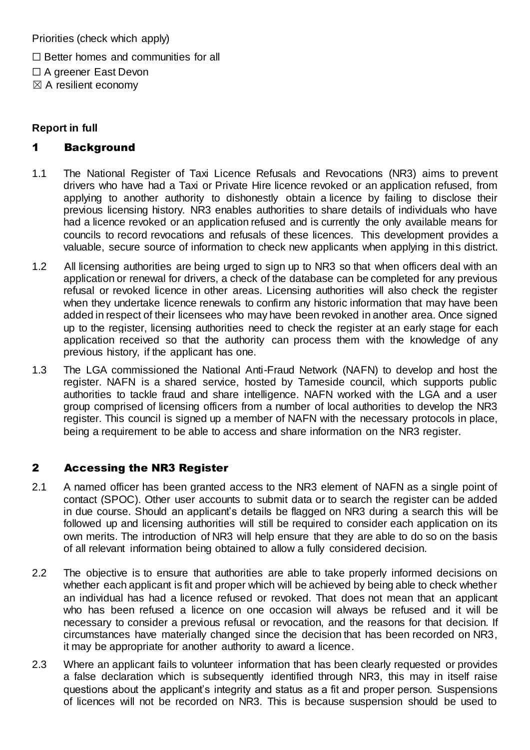Priorities (check which apply)

 $\Box$  Better homes and communities for all

☐ A greener East Devon

 $\boxtimes$  A resilient economy

# **Report in full**

# 1 Background

- 1.1 The National Register of Taxi Licence Refusals and Revocations (NR3) aims to prevent drivers who have had a Taxi or Private Hire licence revoked or an application refused, from applying to another authority to dishonestly obtain a licence by failing to disclose their previous licensing history. NR3 enables authorities to share details of individuals who have had a licence revoked or an application refused and is currently the only available means for councils to record revocations and refusals of these licences. This development provides a valuable, secure source of information to check new applicants when applying in this district.
- 1.2 All licensing authorities are being urged to sign up to NR3 so that when officers deal with an application or renewal for drivers, a check of the database can be completed for any previous refusal or revoked licence in other areas. Licensing authorities will also check the register when they undertake licence renewals to confirm any historic information that may have been added in respect of their licensees who may have been revoked in another area. Once signed up to the register, licensing authorities need to check the register at an early stage for each application received so that the authority can process them with the knowledge of any previous history, if the applicant has one.
- 1.3 The LGA commissioned the National Anti-Fraud Network (NAFN) to develop and host the register. NAFN is a shared service, hosted by Tameside council, which supports public authorities to tackle fraud and share intelligence. NAFN worked with the LGA and a user group comprised of licensing officers from a number of local authorities to develop the NR3 register. This council is signed up a member of NAFN with the necessary protocols in place, being a requirement to be able to access and share information on the NR3 register.

# 2 Accessing the NR3 Register

- 2.1 A named officer has been granted access to the NR3 element of NAFN as a single point of contact (SPOC). Other user accounts to submit data or to search the register can be added in due course. Should an applicant's details be flagged on NR3 during a search this will be followed up and licensing authorities will still be required to consider each application on its own merits. The introduction of NR3 will help ensure that they are able to do so on the basis of all relevant information being obtained to allow a fully considered decision.
- 2.2 The objective is to ensure that authorities are able to take properly informed decisions on whether each applicant is fit and proper which will be achieved by being able to check whether an individual has had a licence refused or revoked. That does not mean that an applicant who has been refused a licence on one occasion will always be refused and it will be necessary to consider a previous refusal or revocation, and the reasons for that decision. If circumstances have materially changed since the decision that has been recorded on NR3, it may be appropriate for another authority to award a licence.
- 2.3 Where an applicant fails to volunteer information that has been clearly requested or provides a false declaration which is subsequently identified through NR3, this may in itself raise questions about the applicant's integrity and status as a fit and proper person. Suspensions of licences will not be recorded on NR3. This is because suspension should be used to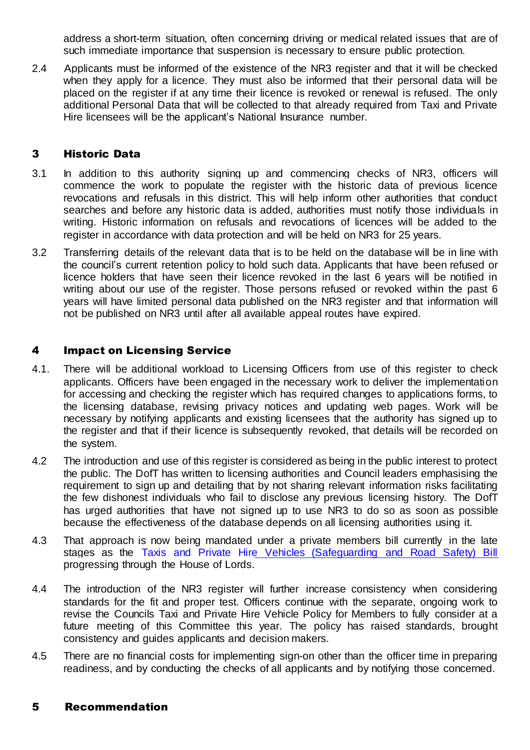address a short-term situation, often concerning driving or medical related issues that are of such immediate importance that suspension is necessary to ensure public protection.

2.4 Applicants must be informed of the existence of the NR3 register and that it will be checked when they apply for a licence. They must also be informed that their personal data will be placed on the register if at any time their licence is revoked or renewal is refused. The only additional Personal Data that will be collected to that already required from Taxi and Private Hire licensees will be the applicant's National Insurance number.

## 3 Historic Data

- 3.1 In addition to this authority signing up and commencing checks of NR3, officers will commence the work to populate the register with the historic data of previous licence revocations and refusals in this district. This will help inform other authorities that conduct searches and before any historic data is added, authorities must notify those individuals in writing. Historic information on refusals and revocations of licences will be added to the register in accordance with data protection and will be held on NR3 for 25 years.
- 3.2 Transferring details of the relevant data that is to be held on the database will be in line with the council's current retention policy to hold such data. Applicants that have been refused or licence holders that have seen their licence revoked in the last 6 years will be notified in writing about our use of the register. Those persons refused or revoked within the past 6 years will have limited personal data published on the NR3 register and that information will not be published on NR3 until after all available appeal routes have expired.

### 4 Impact on Licensing Service

- 4.1. There will be additional workload to Licensing Officers from use of this register to check applicants. Officers have been engaged in the necessary work to deliver the implementation for accessing and checking the register which has required changes to applications forms, to the licensing database, revising privacy notices and updating web pages. Work will be necessary by notifying applicants and existing licensees that the authority has signed up to the register and that if their licence is subsequently revoked, that details will be recorded on the system.
- 4.2 The introduction and use of this register is considered as being in the public interest to protect the public. The DofT has written to licensing authorities and Council leaders emphasising the requirement to sign up and detailing that by not sharing relevant information risks facilitating the few dishonest individuals who fail to disclose any previous licensing history. The DofT has urged authorities that have not signed up to use NR3 to do so as soon as possible because the effectiveness of the database depends on all licensing authorities using it.
- 4.3 That approach is now being mandated under a private members bill currently in the late stages as the [Taxis and Private Hire Vehicles \(Safeguarding and Road Safety\) Bill](https://publications.parliament.uk/pa/bills/cbill/58-02/0022/210022.pdf) progressing through the House of Lords.
- 4.4 The introduction of the NR3 register will further increase consistency when considering standards for the fit and proper test. Officers continue with the separate, ongoing work to revise the Councils Taxi and Private Hire Vehicle Policy for Members to fully consider at a future meeting of this Committee this year. The policy has raised standards, brought consistency and guides applicants and decision makers.
- 4.5 There are no financial costs for implementing sign-on other than the officer time in preparing readiness, and by conducting the checks of all applicants and by notifying those concerned.

### 5 Recommendation